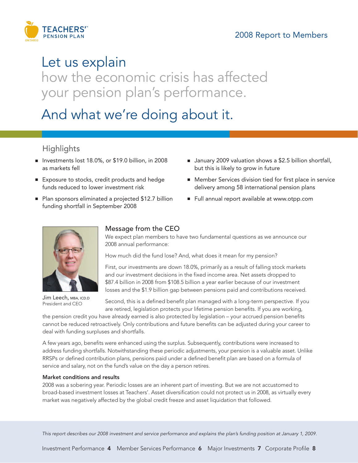

# Let us explain

how the economic crisis has affected your pension plan's performance.

And what we're doing about it.

## **Highlights**

- Investments lost 18.0%, or \$19.0 billion, in 2008 as markets fell
- Exposure to stocks, credit products and hedge funds reduced to lower investment risk
- Plan sponsors eliminated a projected \$12.7 billion funding shortfall in September 2008
- January 2009 valuation shows a \$2.5 billion shortfall, but this is likely to grow in future
- Member Services division tied for first place in service delivery among 58 international pension plans
- **■** Full annual report available at www.otpp.com



Jim Leech, MBA, ICD.D President and CEO

### Message from the CEO

We expect plan members to have two fundamental questions as we announce our 2008 annual performance:

How much did the fund lose? And, what does it mean for my pension?

First, our investments are down 18.0%, primarily as a result of falling stock markets and our investment decisions in the fixed income area. Net assets dropped to \$87.4 billion in 2008 from \$108.5 billion a year earlier because of our investment losses and the \$1.9 billion gap between pensions paid and contributions received.

Second, this is a defined benefit plan managed with a long-term perspective. If you are retired, legislation protects your lifetime pension benefits. If you are working,

the pension credit you have already earned is also protected by legislation – your accrued pension benefits cannot be reduced retroactively. Only contributions and future benefits can be adjusted during your career to deal with funding surpluses and shortfalls.

A few years ago, benefits were enhanced using the surplus. Subsequently, contributions were increased to address funding shortfalls. Notwithstanding these periodic adjustments, your pension is a valuable asset. Unlike RRSPs or defined contribution plans, pensions paid under a defined benefit plan are based on a formula of service and salary, not on the fund's value on the day a person retires.

### Market conditions and results

2008 was a sobering year. Periodic losses are an inherent part of investing. But we are not accustomed to broad-based investment losses at Teachers'. Asset diversification could not protect us in 2008, as virtually every market was negatively affected by the global credit freeze and asset liquidation that followed.

*This report describes our 2008 investment and service performance and explains the plan's funding position at January 1, 2009.*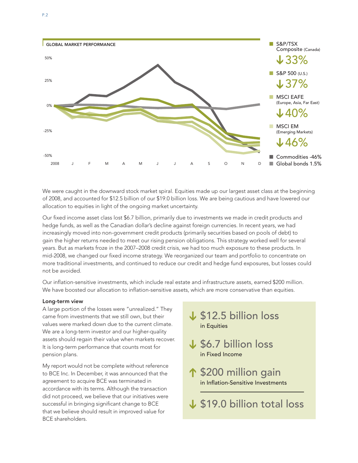

We were caught in the downward stock market spiral. Equities made up our largest asset class at the beginning of 2008, and accounted for \$12.5 billion of our \$19.0 billion loss. We are being cautious and have lowered our allocation to equities in light of the ongoing market uncertainty.

Our fixed income asset class lost \$6.7 billion, primarily due to investments we made in credit products and hedge funds, as well as the Canadian dollar's decline against foreign currencies. In recent years, we had increasingly moved into non-government credit products (primarily securities based on pools of debt) to gain the higher returns needed to meet our rising pension obligations. This strategy worked well for several years. But as markets froze in the 2007–2008 credit crisis, we had too much exposure to these products. In mid-2008, we changed our fixed income strategy. We reorganized our team and portfolio to concentrate on more traditional investments, and continued to reduce our credit and hedge fund exposures, but losses could not be avoided.

Our inflation-sensitive investments, which include real estate and infrastructure assets, earned \$200 million. We have boosted our allocation to inflation-sensitive assets, which are more conservative than equities.

### Long-term view

A large portion of the losses were "unrealized." They came from investments that we still own, but their values were marked down due to the current climate. We are a long-term investor and our higher-quality assets should regain their value when markets recover. It is long-term performance that counts most for pension plans.

My report would not be complete without reference to BCE Inc. In December, it was announced that the agreement to acquire BCE was terminated in accordance with its terms. Although the transaction did not proceed, we believe that our initiatives were successful in bringing significant change to BCE that we believe should result in improved value for BCE shareholders.

# \$12.5 billion loss **➔** in Equities

- \$6.7 billion loss **➔**in Fixed Income
- ↑ \$200 million gain in Inflation-Sensitive Investments **➔ ➔**
- \$19.0 billion total loss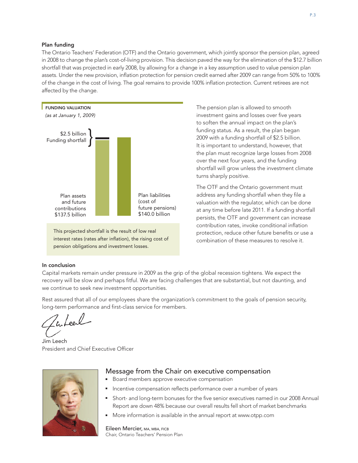### Plan funding

The Ontario Teachers' Federation (OTF) and the Ontario government, which jointly sponsor the pension plan, agreed in 2008 to change the plan's cost-of-living provision. This decision paved the way for the elimination of the \$12.7 billion shortfall that was projected in early 2008, by allowing for a change in a key assumption used to value pension plan assets. Under the new provision, inflation protection for pension credit earned after 2009 can range from 50% to 100% of the change in the cost of living. The goal remains to provide 100% inflation protection. Current retirees are not affected by the change.



This projected shortfall is the result of low real interest rates (rates after inflation), the rising cost of pension obligations and investment losses.

The pension plan is allowed to smooth investment gains and losses over five years to soften the annual impact on the plan's funding status. As a result, the plan began 2009 with a funding shortfall of \$2.5 billion. It is important to understand, however, that the plan must recognize large losses from 2008 over the next four years, and the funding shortfall will grow unless the investment climate turns sharply positive.

The OTF and the Ontario government must address any funding shortfall when they file a valuation with the regulator, which can be done at any time before late 2011. If a funding shortfall persists, the OTF and government can increase contribution rates, invoke conditional inflation protection, reduce other future benefits or use a combination of these measures to resolve it.

### In conclusion

Capital markets remain under pressure in 2009 as the grip of the global recession tightens. We expect the recovery will be slow and perhaps fitful. We are facing challenges that are substantial, but not daunting, and we continue to seek new investment opportunities.

Rest assured that all of our employees share the organization's commitment to the goals of pension security, long-term performance and first-class service for members.

Inteel

Jim Leech President and Chief Executive Officer



### Message from the Chair on executive compensation

- Board members approve executive compensation
- Incentive compensation reflects performance over a number of years
- **■** Short- and long-term bonuses for the five senior executives named in our 2008 Annual Report are down 48% because our overall results fell short of market benchmarks
- More information is available in the annual report at www.otpp.com

Eileen Mercier, MA, MBA, FICB Chair, Ontario Teachers' Pension Plan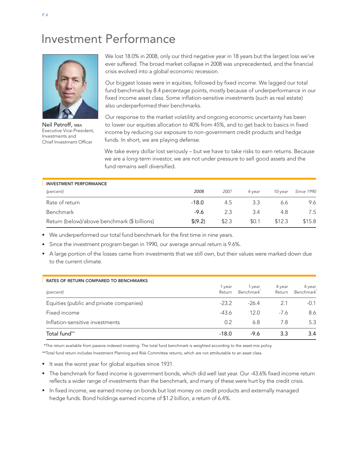# Investment Performance



Neil Petroff, MBA Executive Vice-President, Investments and Chief Investment Officer

We lost 18.0% in 2008, only our third negative year in 18 years but the largest loss we've ever suffered. The broad market collapse in 2008 was unprecedented, and the financial crisis evolved into a global economic recession.

Our biggest losses were in equities, followed by fixed income. We lagged our total fund benchmark by 8.4 percentage points, mostly because of underperformance in our fixed income asset class. Some inflation-sensitive investments (such as real estate) also underperformed their benchmarks.

Our response to the market volatility and ongoing economic uncertainty has been to lower our equities allocation to 40% from 45%, and to get back to basics in fixed income by reducing our exposure to non-government credit products and hedge funds. In short, we are playing defense.

We take every dollar lost seriously - but we have to take risks to earn returns. Because we are a long-term investor, we are not under pressure to sell good assets and the fund remains well diversified.

| <b>INVESTMENT PERFORMANCE</b>                |                    |       |        |         |                   |
|----------------------------------------------|--------------------|-------|--------|---------|-------------------|
| (percent)                                    | 2008               | 2007  | 4-vear | 10-vear | <b>Since 1990</b> |
| Rate of return                               | $-18.0$            | 4.5   | 3.3    | 6.6     | 9.6               |
| Benchmark                                    | -9.6               | 2.3   | 3.4    | 4.8     | 7.5               |
| Return (below)/above benchmark (\$ billions) | $\frac{1}{2}(9.2)$ | \$2.3 | \$0.1  | \$12.3  | \$15.8            |

**■** We underperformed our total fund benchmark for the first time in nine years.

**■** Since the investment program began in 1990, our average annual return is 9.6%.

**■** A large portion of the losses came from investments that we still own, but their values were marked down due to the current climate.

| <b>RATES OF RETURN COMPARED TO BENCHMARKS</b> |                  |                            |                  |                            |
|-----------------------------------------------|------------------|----------------------------|------------------|----------------------------|
| (percent)                                     | 1-year<br>Return | 1-year<br><b>Benchmark</b> | 4-year<br>Return | 4-year<br><b>Benchmark</b> |
| Equities (public and private companies)       | $-23.2$          | $-26.4$                    | 2.1              | $-0.1$                     |
| Fixed income                                  | $-43.6$          | 12.0                       | $-7.6$           | 8.6                        |
| Inflation-sensitive investments               | 0.2              | 6.8                        | 7.8              | 5.3                        |
| Total fund**                                  | $-18.0$          | -9.6                       | 3.3              | 3.4                        |

\*The return available from passive indexed investing. The total fund benchmark is weighted according to the asset-mix policy.

\*\*Total fund return includes Investment Planning and Risk Committee returns, which are not attributable to an asset class.

- **■** It was the worst year for global equities since 1931.
- **■** The benchmark for fixed income is government bonds, which did well last year. Our -43.6% fixed income return reflects a wider range of investments than the benchmark, and many of these were hurt by the credit crisis.
- **■** In fixed income, we earned money on bonds but lost money on credit products and externally managed hedge funds. Bond holdings earned income of \$1.2 billion, a return of 6.4%.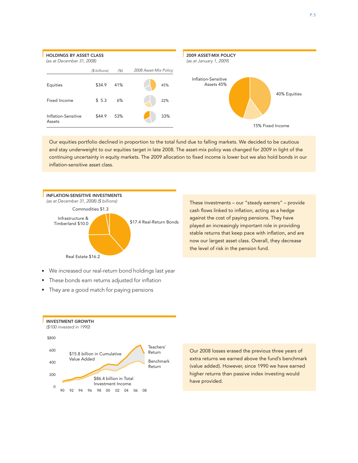

Our equities portfolio declined in proportion to the total fund due to falling markets. We decided to be cautious and stay underweight to our equities target in late 2008. The asset-mix policy was changed for 2009 in light of the continuing uncertainty in equity markets. The 2009 allocation to fixed income is lower but we also hold bonds in our inflation-sensitive asset class.



These investments – our "steady earners" – provide cash flows linked to inflation, acting as a hedge against the cost of paying pensions. They have played an increasingly important role in providing stable returns that keep pace with inflation, and are now our largest asset class. Overall, they decrease the level of risk in the pension fund.

- We increased our real-return bond holdings last year
- These bonds earn returns adjusted for inflation
- **■** They are a good match for paying pensions



Our 2008 losses erased the previous three years of extra returns we earned above the fund's benchmark (value added). However, since 1990 we have earned higher returns than passive index investing would have provided.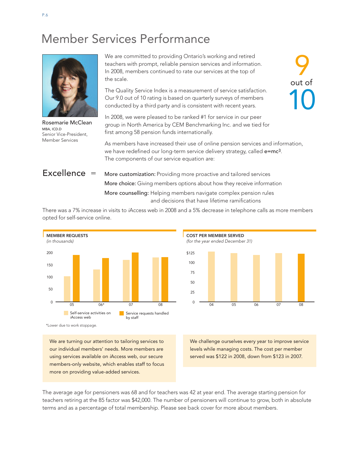# Member Services Performance



Rosemarie McClean MBA, ICD.D. Senior Vice-President, Member Services

We are committed to providing Ontario's working and retired teachers with prompt, reliable pension services and information. In 2008, members continued to rate our services at the top of the scale.

The Quality Service Index is a measurement of service satisfaction. Our 9.0 out of 10 rating is based on quarterly surveys of members conducted by a third party and is consistent with recent years.

In 2008, we were pleased to be ranked #1 for service in our peer group in North America by CEM Benchmarking Inc. and we tied for first among 58 pension funds internationally.

As members have increased their use of online pension services and information, we have redefined our long-term service delivery strategy, called e=mc<sup>3</sup>. The components of our service equation are:

Excellence = More customization: Providing more proactive and tailored services More choice: Giving members options about how they receive information More counselling: Helping members navigate complex pension rules and decisions that have lifetime ramifications

There was a 7% increase in visits to *i*Access web in 2008 and a 5% decrease in telephone calls as more members opted for self-service online.



\*Lower due to work stoppage.

We are turning our attention to tailoring services to our individual members' needs. More members are using services available on *i*Access web, our secure members-only website, which enables staff to focus more on providing value-added services.

**COST PER MEMBER SERVED** *(for the year ended December 31)*  $\Omega$  $50$ 25 75 100 \$125

04 05 06 07 08

We challenge ourselves every year to improve service levels while managing costs. The cost per member served was \$122 in 2008, down from \$123 in 2007.

The average age for pensioners was 68 and for teachers was 42 at year end. The average starting pension for teachers retiring at the 85 factor was \$42,000. The number of pensioners will continue to grow, both in absolute terms and as a percentage of total membership. Please see back cover for more about members.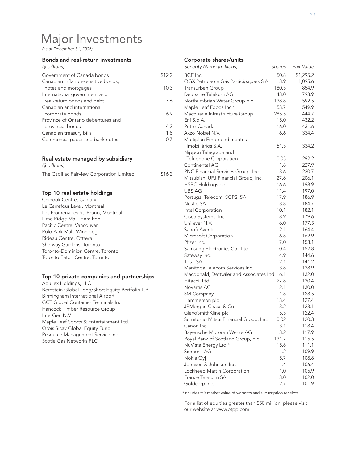# Major Investments

*(as at December 31, 2008)*

#### Bonds and real-return investments

| (\$ billions) |  |
|---------------|--|
|               |  |

| Government of Canada bonds          | \$12.2 |
|-------------------------------------|--------|
| Canadian inflation-sensitive bonds, |        |
| notes and mortgages                 | 10.3   |
| International government and        |        |
| real-return bonds and debt          | 76     |
| Canadian and international          |        |
| corporate bonds                     | 69     |
| Province of Ontario debentures and  |        |
| provincial bonds                    | 4.3    |
| Canadian treasury bills             | 1.8    |
| Commercial paper and bank notes     | 0.7    |

### Real estate managed by subsidiary

| (\$ billions)                             |        |
|-------------------------------------------|--------|
| The Cadillac Fairview Corporation Limited | \$16.2 |

### Top 10 real estate holdings

| Chinook Centre, Calgary            |
|------------------------------------|
| Le Carrefour Laval, Montreal       |
| Les Promenades St. Bruno, Montreal |
| Lime Ridge Mall, Hamilton          |
| Pacific Centre, Vancouver          |
| Polo Park Mall, Winnipeg           |
| Rideau Centre, Ottawa              |
| Sherway Gardens, Toronto           |
| Toronto-Dominion Centre, Toronto   |
| Toronto Eaton Centre, Toronto      |

#### Top 10 private companies and partnerships

Aquilex Holdings, LLC Bernstein Global Long/Short Equity Portfolio L.P. Birmingham International Airport GCT Global Container Terminals Inc. Hancock Timber Resource Group InterGen N.V. Maple Leaf Sports & Entertainment Ltd. Orbis Sicav Global Equity Fund Resource Management Service Inc. Scotia Gas Networks PLC

### Corporate shares/units

| Security Name (millions)                                  | Shares | Fair Value |
|-----------------------------------------------------------|--------|------------|
| BCE Inc.                                                  | 50.8   | \$1,295.2  |
| OGX Petróleo e Gás Participações S.A.                     | 3.9    | 1,095.6    |
| Transurban Group                                          | 180.3  | 854.9      |
| Deutsche Telekom AG                                       | 43.0   | 793.9      |
| Northumbrian Water Group plc                              | 138.8  | 592.5      |
| Maple Leaf Foods Inc.*                                    | 53.7   | 549.9      |
| Macquarie Infrastructure Group                            | 285.5  | 444.7      |
| Eni S.p.A.                                                | 15.0   | 432.2      |
| Petro-Canada                                              | 16.0   | 431.6      |
| Akzo Nobel N.V.                                           | 6.6    | 334.4      |
| Multiplan Empreendimentos                                 |        |            |
| Imobiliários S.A.                                         | 51.3   | 334.2      |
| Nippon Telegraph and                                      |        |            |
| Telephone Corporation                                     | 0.05   | 292.2      |
| Continental AG                                            | 1.8    | 227.9      |
| PNC Financial Services Group, Inc.                        | 3.6    | 220.7      |
| Mitsubishi UFJ Financial Group, Inc.                      | 27.6   | 206.1      |
| <b>HSBC Holdings plc</b>                                  | 16.6   | 198.9      |
| <b>UBS AG</b>                                             | 11.4   | 197.0      |
| Portugal Telecom, SGPS, SA                                | 17.9   | 186.9      |
| Nestlé SA                                                 | 3.8    | 184.7      |
| Intel Corporation                                         | 10.1   | 182.1      |
| Cisco Systems, Inc.                                       | 8.9    | 179.6      |
| Unilever N.V.                                             | 6.0    | 177.5      |
| Sanofi-Aventis                                            | 2.1    | 164.4      |
| Microsoft Corporation                                     | 6.8    | 162.9      |
| Pfizer Inc.                                               | 7.0    | 153.1      |
| Samsung Electronics Co., Ltd.                             | 0.4    | 152.8      |
| Safeway Inc.                                              | 4.9    | 144.6      |
| <b>Total SA</b>                                           | 2.1    | 141.2      |
| Manitoba Telecom Services Inc.                            | 3.8    | 138.9      |
| Macdonald, Dettwiler and Associates Ltd.                  | 6.1    | 132.0      |
| Hitachi, Ltd.                                             | 27.8   | 130.4      |
| Novartis AG                                               | 2.1    | 130.0      |
| 3M Company                                                | 1.8    | 128.5      |
| Hammerson plc                                             | 13.4   | 127.4      |
| JPMorgan Chase & Co.                                      | 3.2    | 123.1      |
| GlaxoSmithKline plc                                       | 5.3    | 122.4      |
| Sumitomo Mitsui Financial Group, Inc.                     | 0.02   | 120.3      |
| Canon Inc.                                                | 3.1    | 118.4      |
|                                                           | 3.2    | 117.9      |
| Bayerische Motoren Werke AG                               |        |            |
| Royal Bank of Scotland Group, plc<br>NuVista Energy Ltd.* | 131.7  | 115.5      |
|                                                           | 15.8   | 111.1      |
| Siemens AG                                                | 1.2    | 109.9      |
| Nokia Oyi                                                 | 5.7    | 108.8      |
| Johnson & Johnson Inc.                                    | 1.4    | 106.4      |
| Lockheed Martin Corporation                               | 1.0    | 105.9      |
| France Telecom SA                                         | 3.0    | 102.0      |
| Goldcorp Inc.                                             | 2.7    | 101.9      |

\*Includes fair market value of warrants and subscription receipts

For a list of equities greater than \$50 million, please visit our website at www.otpp.com.